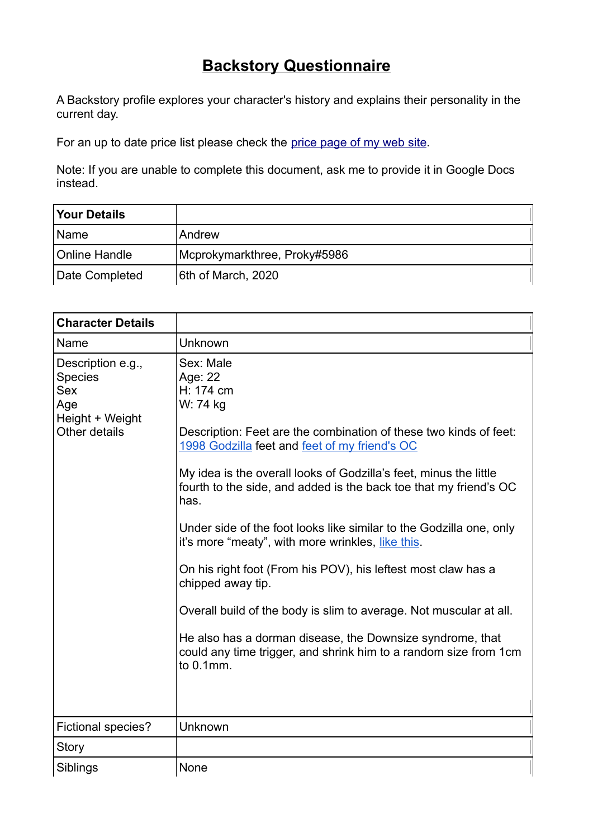## **Backstory Questionnaire**

A Backstory profile explores your character's history and explains their personality in the current day.

For an up to date price list please check the price page of my web site.

Note: If you are unable to complete this document, ask me to provide it in Google Docs instead.

| <b>Your Details</b> |                              |  |
|---------------------|------------------------------|--|
| Name                | l Andrew                     |  |
| Online Handle       | Mcprokymarkthree, Proky#5986 |  |
| Date Completed      | 6th of March, 2020           |  |

| <b>Character Details</b>                                                              |                                                                                                                                                                                                                                                                                                                                                                                                                                                                                                                                                                                                                                                                                                                                                                |
|---------------------------------------------------------------------------------------|----------------------------------------------------------------------------------------------------------------------------------------------------------------------------------------------------------------------------------------------------------------------------------------------------------------------------------------------------------------------------------------------------------------------------------------------------------------------------------------------------------------------------------------------------------------------------------------------------------------------------------------------------------------------------------------------------------------------------------------------------------------|
| Name                                                                                  | Unknown                                                                                                                                                                                                                                                                                                                                                                                                                                                                                                                                                                                                                                                                                                                                                        |
| Description e.g.,<br>Species<br><b>Sex</b><br>Age<br>Height + Weight<br>Other details | Sex: Male<br>Age: 22<br>H: 174 cm<br>W: 74 kg<br>Description: Feet are the combination of these two kinds of feet:<br>1998 Godzilla feet and feet of my friend's OC<br>My idea is the overall looks of Godzilla's feet, minus the little<br>fourth to the side, and added is the back toe that my friend's OC<br>has.<br>Under side of the foot looks like similar to the Godzilla one, only<br>it's more "meaty", with more wrinkles, like this.<br>On his right foot (From his POV), his leftest most claw has a<br>chipped away tip.<br>Overall build of the body is slim to average. Not muscular at all.<br>He also has a dorman disease, the Downsize syndrome, that<br>could any time trigger, and shrink him to a random size from 1cm<br>to $0.1$ mm. |
| Fictional species?                                                                    | Unknown                                                                                                                                                                                                                                                                                                                                                                                                                                                                                                                                                                                                                                                                                                                                                        |
| Story                                                                                 |                                                                                                                                                                                                                                                                                                                                                                                                                                                                                                                                                                                                                                                                                                                                                                |
| Siblings                                                                              | None                                                                                                                                                                                                                                                                                                                                                                                                                                                                                                                                                                                                                                                                                                                                                           |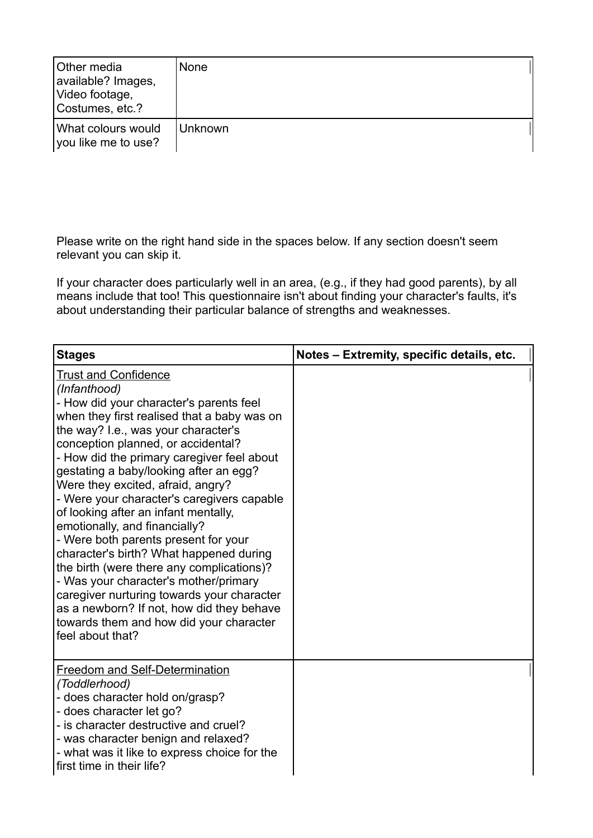| Other media<br>available? Images,<br>Video footage,<br>Costumes, etc.? | l None   |
|------------------------------------------------------------------------|----------|
| What colours would<br>you like me to use?                              | ∟Unknown |

Please write on the right hand side in the spaces below. If any section doesn't seem relevant you can skip it.

If your character does particularly well in an area, (e.g., if they had good parents), by all means include that too! This questionnaire isn't about finding your character's faults, it's about understanding their particular balance of strengths and weaknesses.

| <b>Stages</b>                                                                                                                                                                                                                                                                                                                                                                                                                                                                                                                                                                                                                                                                                                                                                                                             | Notes - Extremity, specific details, etc. |
|-----------------------------------------------------------------------------------------------------------------------------------------------------------------------------------------------------------------------------------------------------------------------------------------------------------------------------------------------------------------------------------------------------------------------------------------------------------------------------------------------------------------------------------------------------------------------------------------------------------------------------------------------------------------------------------------------------------------------------------------------------------------------------------------------------------|-------------------------------------------|
| <b>Trust and Confidence</b><br>(Infanthood)<br>- How did your character's parents feel<br>when they first realised that a baby was on<br>the way? I.e., was your character's<br>conception planned, or accidental?<br>- How did the primary caregiver feel about<br>gestating a baby/looking after an egg?<br>Were they excited, afraid, angry?<br>- Were your character's caregivers capable<br>of looking after an infant mentally,<br>emotionally, and financially?<br>- Were both parents present for your<br>character's birth? What happened during<br>the birth (were there any complications)?<br>- Was your character's mother/primary<br>caregiver nurturing towards your character<br>as a newborn? If not, how did they behave<br>towards them and how did your character<br>feel about that? |                                           |
| <b>Freedom and Self-Determination</b><br>(Toddlerhood)<br>- does character hold on/grasp?<br>- does character let go?<br>- is character destructive and cruel?<br>- was character benign and relaxed?<br>- what was it like to express choice for the<br>first time in their life?                                                                                                                                                                                                                                                                                                                                                                                                                                                                                                                        |                                           |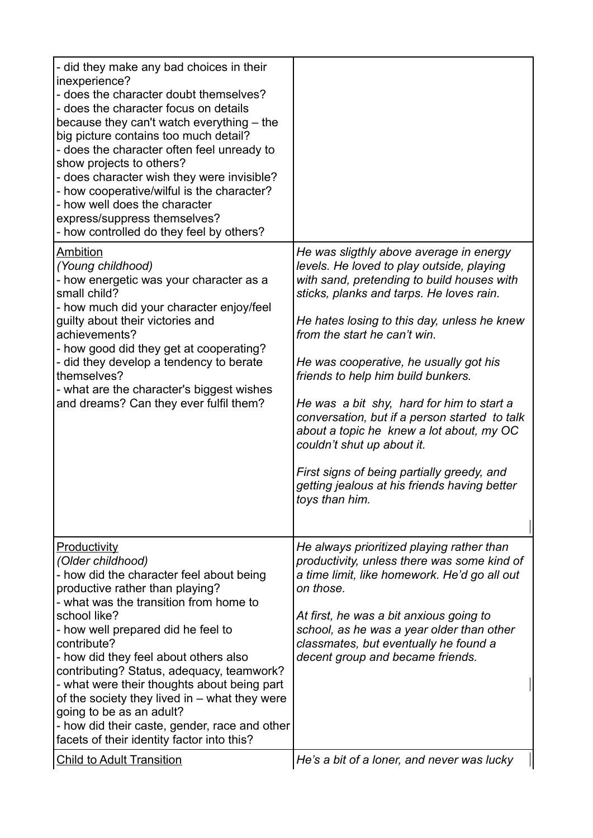| - did they make any bad choices in their<br>inexperience?<br>- does the character doubt themselves?<br>- does the character focus on details<br>because they can't watch everything – the<br>big picture contains too much detail?<br>- does the character often feel unready to<br>show projects to others?<br>- does character wish they were invisible?<br>- how cooperative/wilful is the character?<br>- how well does the character<br>express/suppress themselves?<br>- how controlled do they feel by others?<br>Ambition<br>(Young childhood)<br>- how energetic was your character as a<br>small child?<br>- how much did your character enjoy/feel<br>guilty about their victories and<br>achievements?<br>- how good did they get at cooperating?<br>- did they develop a tendency to berate<br>themselves?<br>- what are the character's biggest wishes<br>and dreams? Can they ever fulfil them? | He was sligthly above average in energy<br>levels. He loved to play outside, playing<br>with sand, pretending to build houses with<br>sticks, planks and tarps. He loves rain.<br>He hates losing to this day, unless he knew<br>from the start he can't win.<br>He was cooperative, he usually got his<br>friends to help him build bunkers.<br>He was a bit shy, hard for him to start a<br>conversation, but if a person started to talk<br>about a topic he knew a lot about, my OC<br>couldn't shut up about it.<br>First signs of being partially greedy, and<br>getting jealous at his friends having better<br>toys than him. |
|----------------------------------------------------------------------------------------------------------------------------------------------------------------------------------------------------------------------------------------------------------------------------------------------------------------------------------------------------------------------------------------------------------------------------------------------------------------------------------------------------------------------------------------------------------------------------------------------------------------------------------------------------------------------------------------------------------------------------------------------------------------------------------------------------------------------------------------------------------------------------------------------------------------|---------------------------------------------------------------------------------------------------------------------------------------------------------------------------------------------------------------------------------------------------------------------------------------------------------------------------------------------------------------------------------------------------------------------------------------------------------------------------------------------------------------------------------------------------------------------------------------------------------------------------------------|
| <b>Productivity</b><br>(Older childhood)<br>- how did the character feel about being<br>productive rather than playing?<br>- what was the transition from home to<br>school like?<br>- how well prepared did he feel to<br>contribute?<br>- how did they feel about others also<br>contributing? Status, adequacy, teamwork?<br>- what were their thoughts about being part<br>of the society they lived in – what they were<br>going to be as an adult?<br>- how did their caste, gender, race and other<br>facets of their identity factor into this?                                                                                                                                                                                                                                                                                                                                                        | He always prioritized playing rather than<br>productivity, unless there was some kind of<br>a time limit, like homework. He'd go all out<br>on those.<br>At first, he was a bit anxious going to<br>school, as he was a year older than other<br>classmates, but eventually he found a<br>decent group and became friends.                                                                                                                                                                                                                                                                                                            |
| <b>Child to Adult Transition</b>                                                                                                                                                                                                                                                                                                                                                                                                                                                                                                                                                                                                                                                                                                                                                                                                                                                                               | He's a bit of a loner, and never was lucky                                                                                                                                                                                                                                                                                                                                                                                                                                                                                                                                                                                            |